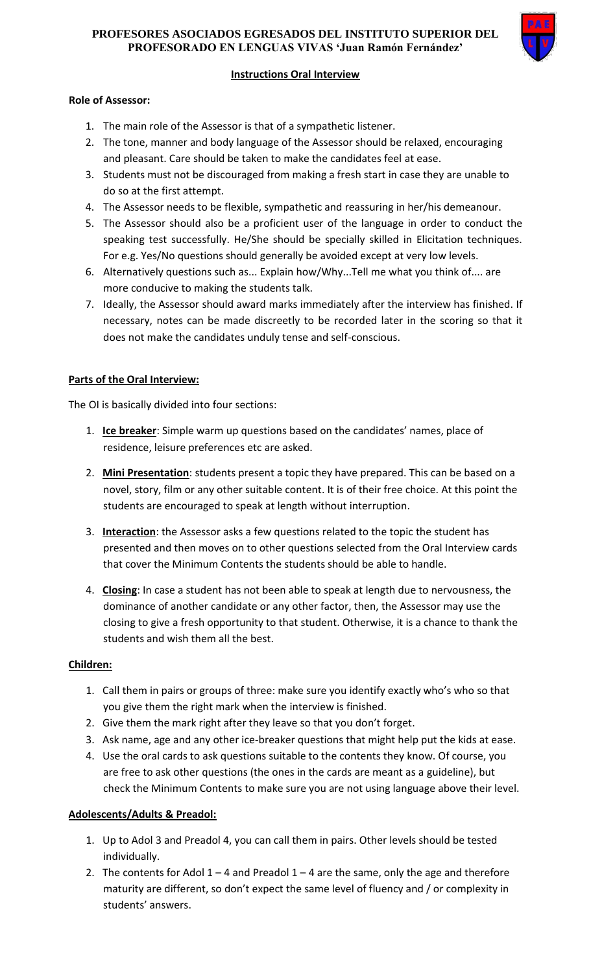### **PROFESORES ASOCIADOS EGRESADOS DEL INSTITUTO SUPERIOR DEL PROFESORADO EN LENGUAS VIVAS 'Juan Ramón Fernández'**



# **Instructions Oral Interview**

#### **Role of Assessor:**

- 1. The main role of the Assessor is that of a sympathetic listener.
- 2. The tone, manner and body language of the Assessor should be relaxed, encouraging and pleasant. Care should be taken to make the candidates feel at ease.
- 3. Students must not be discouraged from making a fresh start in case they are unable to do so at the first attempt.
- 4. The Assessor needs to be flexible, sympathetic and reassuring in her/his demeanour.
- 5. The Assessor should also be a proficient user of the language in order to conduct the speaking test successfully. He/She should be specially skilled in Elicitation techniques. For e.g. Yes/No questions should generally be avoided except at very low levels.
- 6. Alternatively questions such as... Explain how/Why...Tell me what you think of.... are more conducive to making the students talk.
- 7. Ideally, the Assessor should award marks immediately after the interview has finished. If necessary, notes can be made discreetly to be recorded later in the scoring so that it does not make the candidates unduly tense and self-conscious.

### **Parts of the Oral Interview:**

The OI is basically divided into four sections:

- 1. **Ice breaker**: Simple warm up questions based on the candidates' names, place of residence, leisure preferences etc are asked.
- 2. **Mini Presentation**: students present a topic they have prepared. This can be based on a novel, story, film or any other suitable content. It is of their free choice. At this point the students are encouraged to speak at length without interruption.
- 3. **Interaction**: the Assessor asks a few questions related to the topic the student has presented and then moves on to other questions selected from the Oral Interview cards that cover the Minimum Contents the students should be able to handle.
- 4. **Closing**: In case a student has not been able to speak at length due to nervousness, the dominance of another candidate or any other factor, then, the Assessor may use the closing to give a fresh opportunity to that student. Otherwise, it is a chance to thank the students and wish them all the best.

#### **Children:**

- 1. Call them in pairs or groups of three: make sure you identify exactly who's who so that you give them the right mark when the interview is finished.
- 2. Give them the mark right after they leave so that you don't forget.
- 3. Ask name, age and any other ice-breaker questions that might help put the kids at ease.
- 4. Use the oral cards to ask questions suitable to the contents they know. Of course, you are free to ask other questions (the ones in the cards are meant as a guideline), but check the Minimum Contents to make sure you are not using language above their level.

## **Adolescents/Adults & Preadol:**

- 1. Up to Adol 3 and Preadol 4, you can call them in pairs. Other levels should be tested individually.
- 2. The contents for Adol  $1 4$  and Preadol  $1 4$  are the same, only the age and therefore maturity are different, so don't expect the same level of fluency and / or complexity in students' answers.